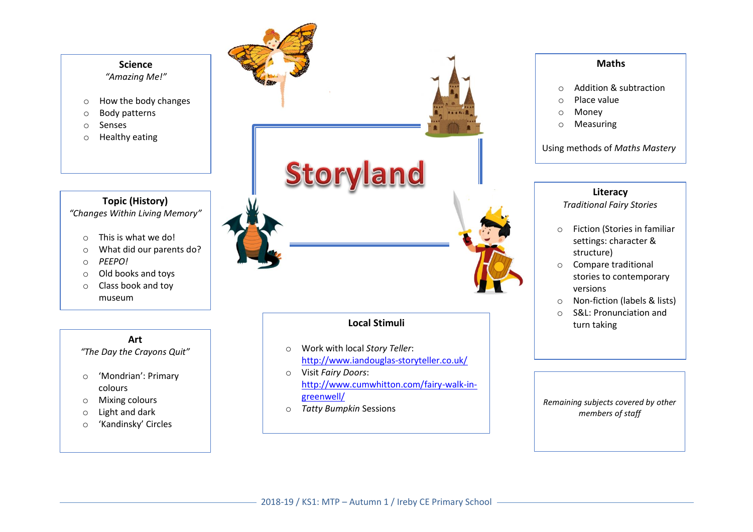

#### **Maths**

- o Addition & subtraction
- o Place value
- o Money
- o Measuring

Using methods of *Maths Mastery*

## **Literacy**

*Traditional Fairy Stories* 

- o Fiction (Stories in familiar settings: character & structure)
- o Compare traditional stories to contemporary versions
- o Non-fiction (labels & lists)
- o S&L: Pronunciation and turn taking

*Remaining subjects covered by other members of staff*